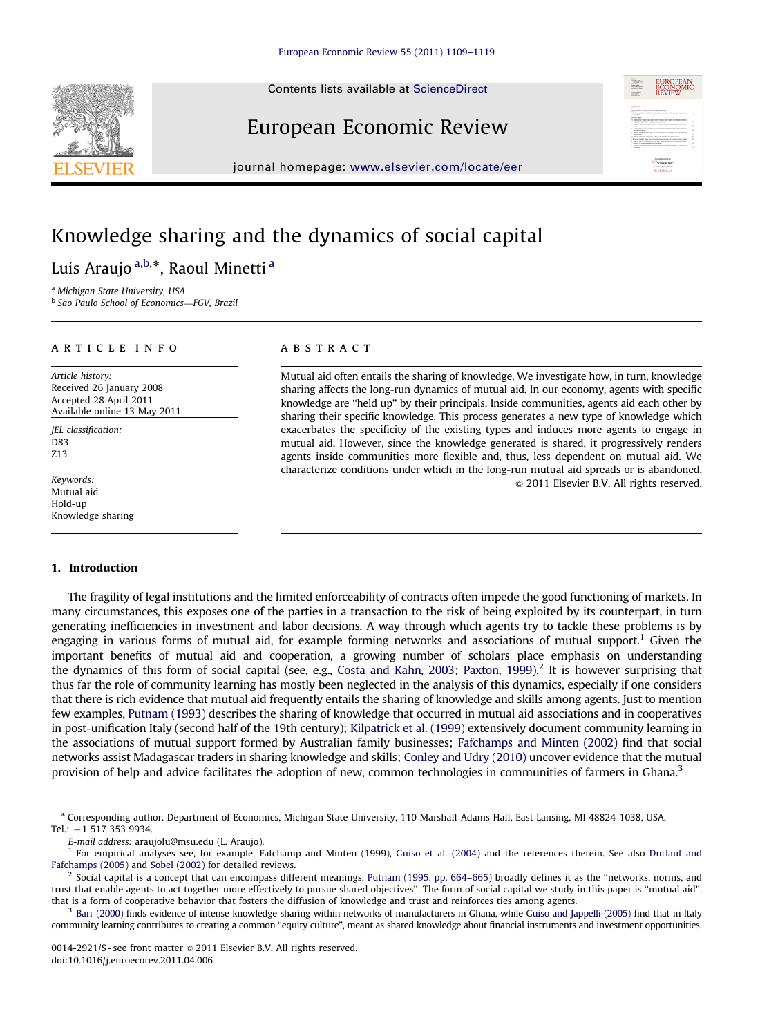Contents lists available at ScienceDirect







journal homepage: <www.elsevier.com/locate/eer>

# Knowledge sharing and the dynamics of social capital

Luis Araujo <sup>a,b,</sup>\*, Raoul Minetti <sup>a</sup>

a Michigan State University, USA **b** São Paulo School of Economics-FGV, Brazil

#### article info

Article history: Received 26 January 2008 Accepted 28 April 2011 Available online 13 May 2011

JEL classification: D83 Z13

Keywords: Mutual aid Hold-up Knowledge sharing

## **ABSTRACT**

Mutual aid often entails the sharing of knowledge. We investigate how, in turn, knowledge sharing affects the long-run dynamics of mutual aid. In our economy, agents with specific knowledge are ''held up'' by their principals. Inside communities, agents aid each other by sharing their specific knowledge. This process generates a new type of knowledge which exacerbates the specificity of the existing types and induces more agents to engage in mutual aid. However, since the knowledge generated is shared, it progressively renders agents inside communities more flexible and, thus, less dependent on mutual aid. We characterize conditions under which in the long-run mutual aid spreads or is abandoned.  $\odot$  2011 Elsevier B.V. All rights reserved.

### 1. Introduction

The fragility of legal institutions and the limited enforceability of contracts often impede the good functioning of markets. In many circumstances, this exposes one of the parties in a transaction to the risk of being exploited by its counterpart, in turn generating inefficiencies in investment and labor decisions. A way through which agents try to tackle these problems is by engaging in various forms of mutual aid, for example forming networks and associations of mutual support.<sup>1</sup> Given the important benefits of mutual aid and cooperation, a growing number of scholars place emphasis on understanding the dynamics of this form of social capital (see, e.g., [Costa and Kahn, 2003;](#page--1-0) [Paxton, 1999](#page--1-0)).<sup>2</sup> It is however surprising that thus far the role of community learning has mostly been neglected in the analysis of this dynamics, especially if one considers that there is rich evidence that mutual aid frequently entails the sharing of knowledge and skills among agents. Just to mention few examples, [Putnam \(1993\)](#page--1-0) describes the sharing of knowledge that occurred in mutual aid associations and in cooperatives in post-unification Italy (second half of the 19th century); [Kilpatrick et al. \(1999\)](#page--1-0) extensively document community learning in the associations of mutual support formed by Australian family businesses; [Fafchamps and Minten \(2002\)](#page--1-0) find that social networks assist Madagascar traders in sharing knowledge and skills; [Conley and Udry \(2010\)](#page--1-0) uncover evidence that the mutual provision of help and advice facilitates the adoption of new, common technologies in communities of farmers in Ghana.<sup>3</sup>

<sup>-</sup> Corresponding author. Department of Economics, Michigan State University, 110 Marshall-Adams Hall, East Lansing, MI 48824-1038, USA. Tel.:  $+1$  517 353 9934.

E-mail address: [araujolu@msu.edu \(L. Araujo\).](mailto:araujolu@msu.edu)

<sup>&</sup>lt;sup>1</sup> For empirical analyses see, for example, Fafchamp and Minten (1999), [Guiso et al. \(2004\)](#page--1-0) and the references therein. See also [Durlauf and](#page--1-0) [Fafchamps \(2005\)](#page--1-0) and [Sobel \(2002\)](#page--1-0) for detailed reviews.

<sup>2</sup> Social capital is a concept that can encompass different meanings. [Putnam \(1995, pp. 664–665\)](#page--1-0) broadly defines it as the ''networks, norms, and trust that enable agents to act together more effectively to pursue shared objectives''. The form of social capital we study in this paper is ''mutual aid'', that is a form of cooperative behavior that fosters the diffusion of knowledge and trust and reinforces ties among agents.

<sup>&</sup>lt;sup>3</sup> [Barr \(2000\)](#page--1-0) finds evidence of intense knowledge sharing within networks of manufacturers in Ghana, while [Guiso and Jappelli \(2005\)](#page--1-0) find that in Italy community learning contributes to creating a common ''equity culture'', meant as shared knowledge about financial instruments and investment opportunities.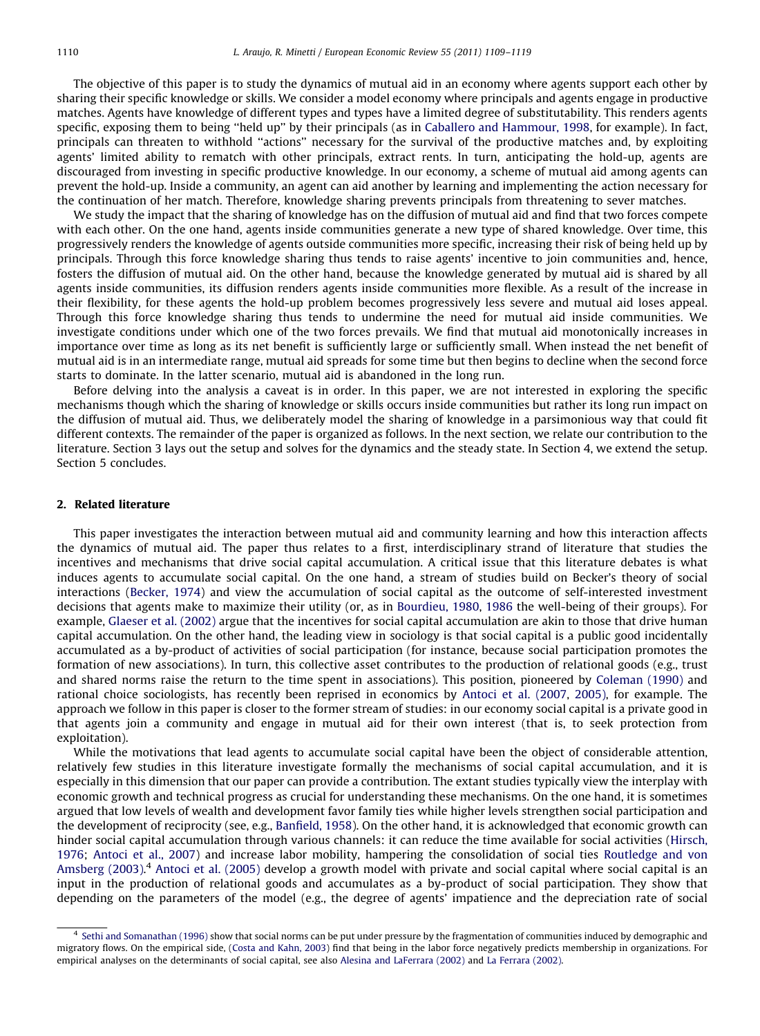The objective of this paper is to study the dynamics of mutual aid in an economy where agents support each other by sharing their specific knowledge or skills. We consider a model economy where principals and agents engage in productive matches. Agents have knowledge of different types and types have a limited degree of substitutability. This renders agents specific, exposing them to being ''held up'' by their principals (as in [Caballero and Hammour, 1998,](#page--1-0) for example). In fact, principals can threaten to withhold ''actions'' necessary for the survival of the productive matches and, by exploiting agents' limited ability to rematch with other principals, extract rents. In turn, anticipating the hold-up, agents are discouraged from investing in specific productive knowledge. In our economy, a scheme of mutual aid among agents can prevent the hold-up. Inside a community, an agent can aid another by learning and implementing the action necessary for the continuation of her match. Therefore, knowledge sharing prevents principals from threatening to sever matches.

We study the impact that the sharing of knowledge has on the diffusion of mutual aid and find that two forces compete with each other. On the one hand, agents inside communities generate a new type of shared knowledge. Over time, this progressively renders the knowledge of agents outside communities more specific, increasing their risk of being held up by principals. Through this force knowledge sharing thus tends to raise agents' incentive to join communities and, hence, fosters the diffusion of mutual aid. On the other hand, because the knowledge generated by mutual aid is shared by all agents inside communities, its diffusion renders agents inside communities more flexible. As a result of the increase in their flexibility, for these agents the hold-up problem becomes progressively less severe and mutual aid loses appeal. Through this force knowledge sharing thus tends to undermine the need for mutual aid inside communities. We investigate conditions under which one of the two forces prevails. We find that mutual aid monotonically increases in importance over time as long as its net benefit is sufficiently large or sufficiently small. When instead the net benefit of mutual aid is in an intermediate range, mutual aid spreads for some time but then begins to decline when the second force starts to dominate. In the latter scenario, mutual aid is abandoned in the long run.

Before delving into the analysis a caveat is in order. In this paper, we are not interested in exploring the specific mechanisms though which the sharing of knowledge or skills occurs inside communities but rather its long run impact on the diffusion of mutual aid. Thus, we deliberately model the sharing of knowledge in a parsimonious way that could fit different contexts. The remainder of the paper is organized as follows. In the next section, we relate our contribution to the literature. Section 3 lays out the setup and solves for the dynamics and the steady state. In Section 4, we extend the setup. Section 5 concludes.

#### 2. Related literature

This paper investigates the interaction between mutual aid and community learning and how this interaction affects the dynamics of mutual aid. The paper thus relates to a first, interdisciplinary strand of literature that studies the incentives and mechanisms that drive social capital accumulation. A critical issue that this literature debates is what induces agents to accumulate social capital. On the one hand, a stream of studies build on Becker's theory of social interactions [\(Becker, 1974\)](#page--1-0) and view the accumulation of social capital as the outcome of self-interested investment decisions that agents make to maximize their utility (or, as in [Bourdieu, 1980](#page--1-0), [1986](#page--1-0) the well-being of their groups). For example, [Glaeser et al. \(2002\)](#page--1-0) argue that the incentives for social capital accumulation are akin to those that drive human capital accumulation. On the other hand, the leading view in sociology is that social capital is a public good incidentally accumulated as a by-product of activities of social participation (for instance, because social participation promotes the formation of new associations). In turn, this collective asset contributes to the production of relational goods (e.g., trust and shared norms raise the return to the time spent in associations). This position, pioneered by [Coleman \(1990\)](#page--1-0) and rational choice sociologists, has recently been reprised in economics by [Antoci et al. \(2007](#page--1-0), [2005\)](#page--1-0), for example. The approach we follow in this paper is closer to the former stream of studies: in our economy social capital is a private good in that agents join a community and engage in mutual aid for their own interest (that is, to seek protection from exploitation).

While the motivations that lead agents to accumulate social capital have been the object of considerable attention, relatively few studies in this literature investigate formally the mechanisms of social capital accumulation, and it is especially in this dimension that our paper can provide a contribution. The extant studies typically view the interplay with economic growth and technical progress as crucial for understanding these mechanisms. On the one hand, it is sometimes argued that low levels of wealth and development favor family ties while higher levels strengthen social participation and the development of reciprocity (see, e.g., [Banfield, 1958](#page--1-0)). On the other hand, it is acknowledged that economic growth can hinder social capital accumulation through various channels: it can reduce the time available for social activities [\(Hirsch,](#page--1-0) [1976](#page--1-0); [Antoci et al., 2007](#page--1-0)) and increase labor mobility, hampering the consolidation of social ties [Routledge and von](#page--1-0) [Amsberg \(2003\).](#page--1-0)<sup>4</sup> [Antoci et al. \(2005\)](#page--1-0) develop a growth model with private and social capital where social capital is an input in the production of relational goods and accumulates as a by-product of social participation. They show that depending on the parameters of the model (e.g., the degree of agents' impatience and the depreciation rate of social

 $4$  [Sethi and Somanathan \(1996\)](#page--1-0) show that social norms can be put under pressure by the fragmentation of communities induced by demographic and migratory flows. On the empirical side, ([Costa and Kahn, 2003\)](#page--1-0) find that being in the labor force negatively predicts membership in organizations. For empirical analyses on the determinants of social capital, see also [Alesina and LaFerrara \(2002\)](#page--1-0) and [La Ferrara \(2002\)](#page--1-0).